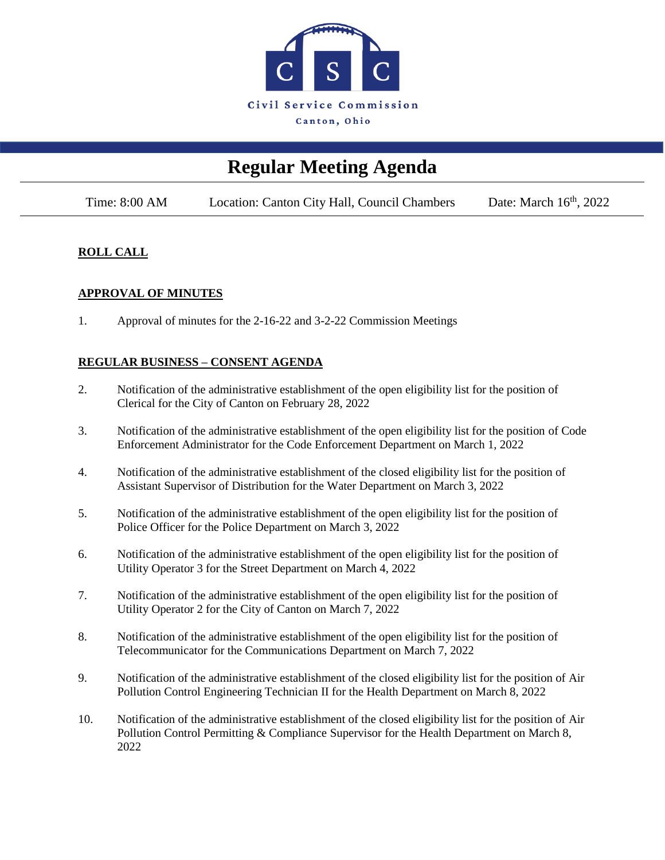

# **Regular Meeting Agenda**

Time: 8:00 AM Location: Canton City Hall, Council Chambers Date: March 16<sup>th</sup>, 2022

## **ROLL CALL**

## **APPROVAL OF MINUTES**

1. Approval of minutes for the 2-16-22 and 3-2-22 Commission Meetings

## **REGULAR BUSINESS – CONSENT AGENDA**

- 2. Notification of the administrative establishment of the open eligibility list for the position of Clerical for the City of Canton on February 28, 2022
- 3. Notification of the administrative establishment of the open eligibility list for the position of Code Enforcement Administrator for the Code Enforcement Department on March 1, 2022
- 4. Notification of the administrative establishment of the closed eligibility list for the position of Assistant Supervisor of Distribution for the Water Department on March 3, 2022
- 5. Notification of the administrative establishment of the open eligibility list for the position of Police Officer for the Police Department on March 3, 2022
- 6. Notification of the administrative establishment of the open eligibility list for the position of Utility Operator 3 for the Street Department on March 4, 2022
- 7. Notification of the administrative establishment of the open eligibility list for the position of Utility Operator 2 for the City of Canton on March 7, 2022
- 8. Notification of the administrative establishment of the open eligibility list for the position of Telecommunicator for the Communications Department on March 7, 2022
- 9. Notification of the administrative establishment of the closed eligibility list for the position of Air Pollution Control Engineering Technician II for the Health Department on March 8, 2022
- 10. Notification of the administrative establishment of the closed eligibility list for the position of Air Pollution Control Permitting & Compliance Supervisor for the Health Department on March 8, 2022